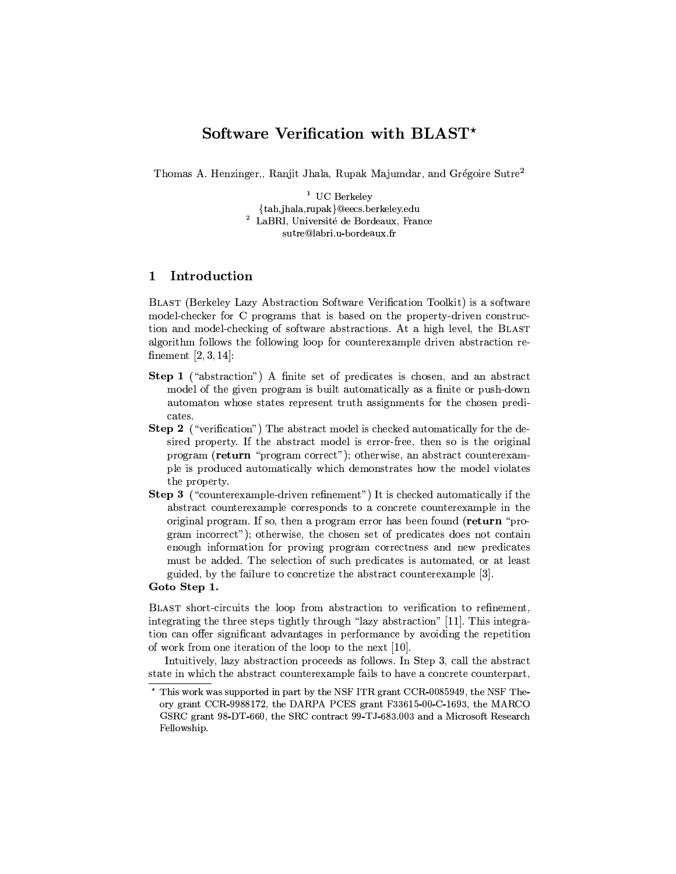## Software Verification with BLAST<sup>\*</sup>

Thomas A. Henzinger,, Ranjit Jhala, Rupak Majumdar, and Grégoire Sutre<sup>2</sup>

 $1$  UC Berkelev {tah,jhala,rupak}@eecs.berkeley.edu <sup>2</sup> LaBRI, Université de Bordeaux, France sutre@labri.u-bordeaux.fr

## $\mathbf 1$ Introduction

BLAST (Berkeley Lazy Abstraction Software Verification Toolkit) is a software model-checker for C programs that is based on the property-driven construction and model-checking of software abstractions. At a high level, the BLAST algorithm follows the following loop for counterexample driven abstraction refinement  $[2, 3, 14]$ :

- Step 1 ("abstraction") A finite set of predicates is chosen, and an abstract model of the given program is built automatically as a finite or push-down automaton whose states represent truth assignments for the chosen predicates.
- **Step 2** ("verification") The abstract model is checked automatically for the desired property. If the abstract model is error-free, then so is the original program (return "program correct"); otherwise, an abstract counterexample is produced automatically which demonstrates how the model violates the property.
- **Step 3** ("counterexample-driven refinement") It is checked automatically if the abstract counterexample corresponds to a concrete counterexample in the original program. If so, then a program error has been found (return "program incorrect"); otherwise, the chosen set of predicates does not contain enough information for proving program correctness and new predicates must be added. The selection of such predicates is automated, or at least guided, by the failure to concretize the abstract counterexample [3].

Goto Step 1.

BLAST short-circuits the loop from abstraction to verification to refinement, integrating the three steps tightly through "lazy abstraction" [11]. This integration can offer significant advantages in performance by avoiding the repetition of work from one iteration of the loop to the next [10].

Intuitively, lazy abstraction proceeds as follows. In Step 3, call the abstract state in which the abstract counterexample fails to have a concrete counterpart,

<sup>\*</sup> This work was supported in part by the NSF ITR grant CCR-0085949, the NSF Theory grant CCR-9988172, the DARPA PCES grant F33615-00-C-1693, the MARCO GSRC grant 98-DT-660, the SRC contract 99-TJ-683.003 and a Microsoft Research Fellowship.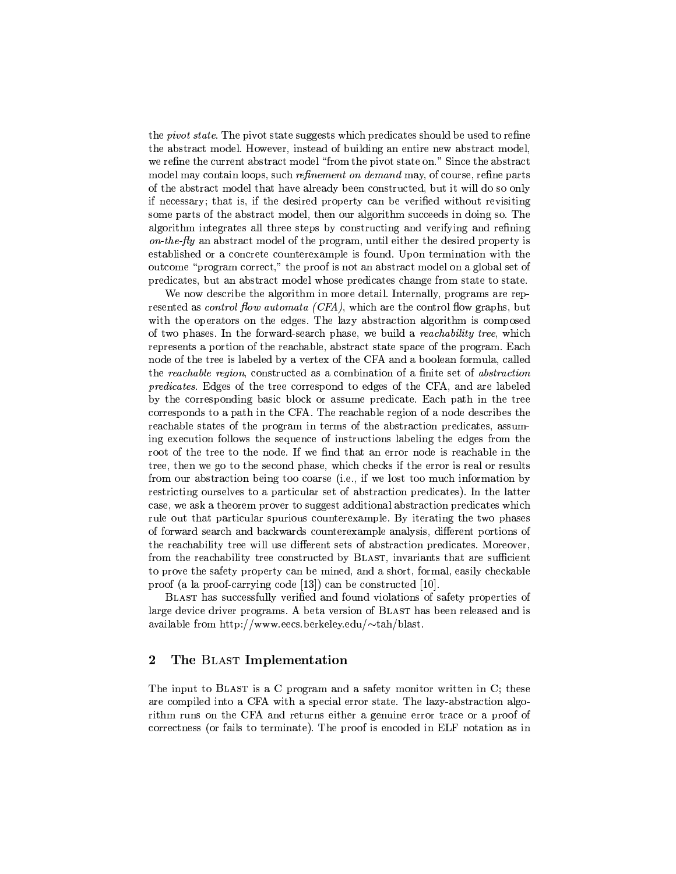the *pivot state*. The pivot state suggests which predicates should be used to refine the abstract model. However, instead of building an entire new abstract model, we refine the current abstract model "from the pivot state on." Since the abstract model may contain loops, such *refinement* on *demand* may, of course, refine parts of the abstract model that have already been constructed, but it will do so only if necessary; that is, if the desired property can be verified without revisiting some parts of the abstract model, then our algorithm succeeds in doing so. The algorithm integrates all three steps by constructing and verifying and refining on-the-fly an abstract model of the program, until either the desired property is established or a concrete counterexample is found. Upon termination with the outcome "program correct," the proof is not an abstract model on a global set of predicates, but an abstract model whose predicates change from state to state.

We now describe the algorithm in more detail. Internally, programs are represented as *control flow automata (CFA)*, which are the control flow graphs, but with the operators on the edges. The lazy abstraction algorithm is composed of two phases. In the forward-search phase, we build a *reachability tree*, which represents a portion of the reachable, abstract state space of the program. Each node of the tree is labeled by a vertex of the CFA and a boolean formula, called the reachable region, constructed as a combination of a finite set of abstraction *predicates.* Edges of the tree correspond to edges of the CFA, and are labeled by the corresponding basic block or assume predicate. Each path in the tree corresponds to a path in the CFA. The reachable region of a node describes the reachable states of the program in terms of the abstraction predicates, assuming execution follows the sequence of instructions labeling the edges from the root of the tree to the node. If we find that an error node is reachable in the tree, then we go to the second phase, which checks if the error is real or results from our abstraction being too coarse (i.e., if we lost too much information by restricting ourselves to a particular set of abstraction predicates). In the latter case, we ask a theorem prover to suggest additional abstraction predicates which rule out that particular spurious counterexample. By iterating the two phases of forward search and backwards counterexample analysis, different portions of the reachability tree will use different sets of abstraction predicates. Moreover, from the reachability tree constructed by BLAST, invariants that are sufficient to prove the safety property can be mined, and a short, formal, easily checkable proof (a la proof-carrying code [13]) can be constructed [10].

BLAST has successfully verified and found violations of safety properties of large device driver programs. A beta version of BLAST has been released and is available from http://www.eecs.berkeley.edu/ $\sim$ tah/blast.

## $\bf{2}$ The BLAST Implementation

The input to BLAST is a C program and a safety monitor written in C; these are compiled into a CFA with a special error state. The lazy-abstraction algorithm runs on the CFA and returns either a genuine error trace or a proof of correctness (or fails to terminate). The proof is encoded in ELF notation as in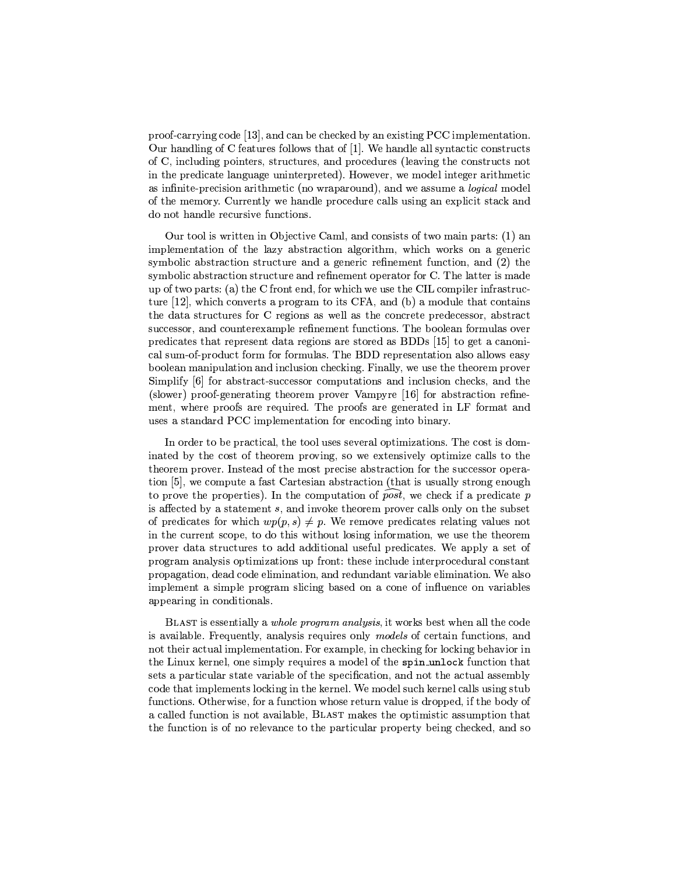proof-carrying code [13], and can be checked by an existing PCC implementation. Our handling of C features follows that of [1]. We handle all syntactic constructs of C, including pointers, structures, and procedures (leaving the constructs not in the predicate language uninterpreted). However, we model integer arithmetic as infinite-precision arithmetic (no wraparound), and we assume a *logical* model of the memory. Currently we handle procedure calls using an explicit stack and do not handle recursive functions.

Our tool is written in Objective Caml, and consists of two main parts: (1) an implementation of the lazy abstraction algorithm, which works on a generic symbolic abstraction structure and a generic refinement function, and (2) the symbolic abstraction structure and refinement operator for C. The latter is made up of two parts: (a) the C front end, for which we use the CIL compiler infrastructure [12], which converts a program to its CFA, and (b) a module that contains the data structures for C regions as well as the concrete predecessor, abstract successor, and counterexample refinement functions. The boolean formulas over predicates that represent data regions are stored as BDDs [15] to get a canonical sum-of-product form for formulas. The BDD representation also allows easy boolean manipulation and inclusion checking. Finally, we use the theorem prover Simplify [6] for abstract-successor computations and inclusion checks, and the (slower) proof-generating theorem prover Vampyre [16] for abstraction refinement, where proofs are required. The proofs are generated in LF format and uses a standard PCC implementation for encoding into binary.

In order to be practical, the tool uses several optimizations. The cost is dominated by the cost of theorem proving, so we extensively optimize calls to the theorem prover. Instead of the most precise abstraction for the successor operation [5], we compute a fast Cartesian abstraction (that is usually strong enough to prove the properties). In the computation of post, we check if a predicate p is affected by a statement  $s$ , and invoke theorem prover calls only on the subset of predicates for which  $wp(p, s) \neq p$ . We remove predicates relating values not in the current scope, to do this without losing information, we use the theorem prover data structures to add additional useful predicates. We apply a set of program analysis optimizations up front: these include interprocedural constant propagation, dead code elimination, and redundant variable elimination. We also implement a simple program slicing based on a cone of influence on variables appearing in conditionals.

BLAST is essentially a *whole program analysis*, it works best when all the code is available. Frequently, analysis requires only models of certain functions, and not their actual implementation. For example, in checking for locking behavior in the Linux kernel, one simply requires a model of the spin\_unlock function that sets a particular state variable of the specification, and not the actual assembly code that implements locking in the kernel. We model such kernel calls using stub functions. Otherwise, for a function whose return value is dropped, if the body of a called function is not available, BLAST makes the optimistic assumption that the function is of no relevance to the particular property being checked, and so